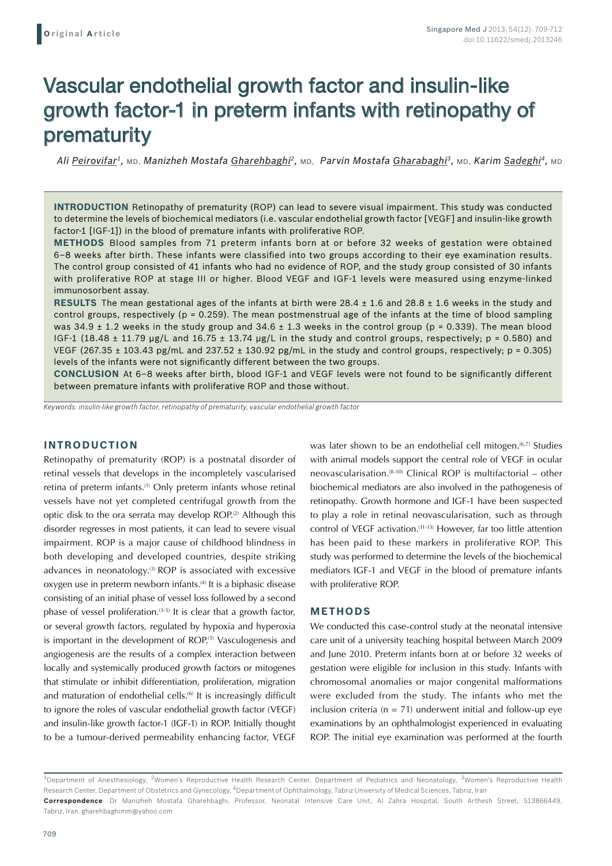# Vascular endothelial growth factor and insulin-like growth factor-1 in preterm infants with retinopathy of prematurity

*Ali Peirovifar1,* MD, *Manizheh Mostafa Gharehbaghi2,* MD, *Parvin Mostafa Gharabaghi3,* MD, *Karim Sadeghi4,* MD

**Introduction** Retinopathy of prematurity (ROP) can lead to severe visual impairment. This study was conducted to determine the levels of biochemical mediators (i.e. vascular endothelial growth factor [VEGF] and insulin-like growth factor-1 [IGF-1]) in the blood of premature infants with proliferative ROP.

**Methods** Blood samples from 71 preterm infants born at or before 32 weeks of gestation were obtained 6–8 weeks after birth. These infants were classified into two groups according to their eye examination results. The control group consisted of 41 infants who had no evidence of ROP, and the study group consisted of 30 infants with proliferative ROP at stage III or higher. Blood VEGF and IGF-1 levels were measured using enzyme-linked immunosorbent assay.

**Results** The mean gestational ages of the infants at birth were 28.4 ± 1.6 and 28.8 ± 1.6 weeks in the study and control groups, respectively ( $p = 0.259$ ). The mean postmenstrual age of the infants at the time of blood sampling was 34.9  $\pm$  1.2 weeks in the study group and 34.6  $\pm$  1.3 weeks in the control group (p = 0.339). The mean blood IGF-1 (18.48  $\pm$  11.79 µg/L and 16.75  $\pm$  13.74 µg/L in the study and control groups, respectively; p = 0.580) and VEGF (267.35  $\pm$  103.43 pg/mL and 237.52  $\pm$  130.92 pg/mL in the study and control groups, respectively; p = 0.305) levels of the infants were not significantly different between the two groups.

**Conclusion** At 6–8 weeks after birth, blood IGF-1 and VEGF levels were not found to be significantly different between premature infants with proliferative ROP and those without.

*Keywords: insulin-like growth factor, retinopathy of prematurity, vascular endothelial growth factor*

# **INTRODUCTION**

Retinopathy of prematurity (ROP) is a postnatal disorder of retinal vessels that develops in the incompletely vascularised retina of preterm infants.(1) Only preterm infants whose retinal vessels have not yet completed centrifugal growth from the optic disk to the ora serrata may develop ROP.<sup>(2)</sup> Although this disorder regresses in most patients, it can lead to severe visual impairment. ROP is a major cause of childhood blindness in both developing and developed countries, despite striking advances in neonatology. $(3)$  ROP is associated with excessive oxygen use in preterm newborn infants.<sup>(4)</sup> It is a biphasic disease consisting of an initial phase of vessel loss followed by a second phase of vessel proliferation.<sup> $(3-5)$ </sup> It is clear that a growth factor, or several growth factors, regulated by hypoxia and hyperoxia is important in the development of ROP.<sup>(5)</sup> Vasculogenesis and angiogenesis are the results of a complex interaction between locally and systemically produced growth factors or mitogenes that stimulate or inhibit differentiation, proliferation, migration and maturation of endothelial cells.<sup>(6)</sup> It is increasingly difficult to ignore the roles of vascular endothelial growth factor (VEGF) and insulin-like growth factor-1 (IGF-1) in ROP. Initially thought to be a tumour-derived permeability enhancing factor, VEGF

was later shown to be an endothelial cell mitogen.<sup>(6,7)</sup> Studies with animal models support the central role of VEGF in ocular neovascularisation. $(8-10)$  Clinical ROP is multifactorial – other biochemical mediators are also involved in the pathogenesis of retinopathy. Growth hormone and IGF-1 have been suspected to play a role in retinal neovascularisation, such as through control of VEGF activation.(11-13) However, far too little attention has been paid to these markers in proliferative ROP. This study was performed to determine the levels of the biochemical mediators IGF-1 and VEGF in the blood of premature infants with proliferative ROP.

# **METHODS**

We conducted this case-control study at the neonatal intensive care unit of a university teaching hospital between March 2009 and June 2010. Preterm infants born at or before 32 weeks of gestation were eligible for inclusion in this study. Infants with chromosomal anomalies or major congenital malformations were excluded from the study. The infants who met the inclusion criteria ( $n = 71$ ) underwent initial and follow-up eye examinations by an ophthalmologist experienced in evaluating ROP. The initial eye examination was performed at the fourth

<sup>&</sup>lt;sup>1</sup>Department of Anesthesiology, <sup>2</sup>Women's Reproductive Health Research Center, Department of Pediatrics and Neonatology, <sup>3</sup>Women's Reproductive Health Research Center, Department of Obstetrics and Gynecology, <sup>4</sup>Department of Ophthalmology, Tabriz University of Medical Sciences, Tabriz, Iran **Correspondence**: Dr Manizheh Mostafa Gharehbaghi, Professor, Neonatal Intensive Care Unit, Al Zahra Hospital, South Arthesh Street, 513866449, Tabriz, Iran. gharehbaghimm@yahoo.com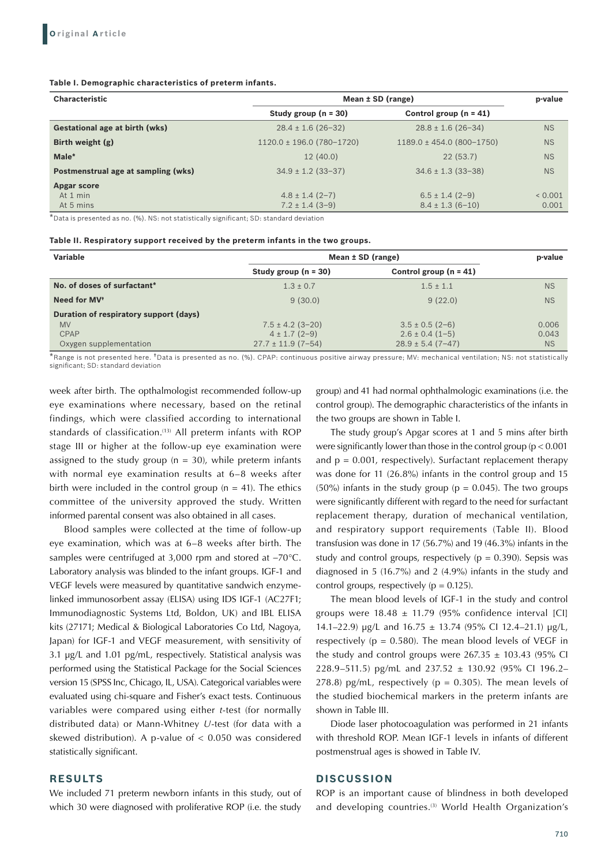#### **Table I. Demographic characteristics of preterm infants.**

| <b>Characteristic</b>               | Mean $\pm$ SD (range)         |                               |           |
|-------------------------------------|-------------------------------|-------------------------------|-----------|
|                                     | Study group $(n = 30)$        | Control group $(n = 41)$      |           |
| Gestational age at birth (wks)      | $28.4 \pm 1.6$ (26-32)        | $28.8 \pm 1.6$ (26-34)        | <b>NS</b> |
| Birth weight $(g)$                  | $1120.0 \pm 196.0$ (780-1720) | $1189.0 \pm 454.0$ (800-1750) | <b>NS</b> |
| Male*                               | 12(40.0)                      | 22(53.7)                      | <b>NS</b> |
| Postmenstrual age at sampling (wks) | $34.9 \pm 1.2$ (33-37)        | $34.6 \pm 1.3$ (33-38)        | <b>NS</b> |
| <b>Apgar score</b>                  |                               |                               |           |
| At 1 min                            | $4.8 \pm 1.4$ (2-7)           | $6.5 \pm 1.4$ (2-9)           | 0.001     |
| At 5 mins                           | $7.2 \pm 1.4$ (3-9)           | $8.4 \pm 1.3$ (6-10)          | 0.001     |

\*Data is presented as no. (%). NS: not statistically significant; SD: standard deviation

#### **Table II. Respiratory support received by the preterm infants in the two groups.**

| Variable                               |                        | Mean $\pm$ SD (range)    |           |  |
|----------------------------------------|------------------------|--------------------------|-----------|--|
|                                        | Study group $(n = 30)$ | Control group $(n = 41)$ |           |  |
| No. of doses of surfactant*            | $1.3 \pm 0.7$          | $1.5 \pm 1.1$            | <b>NS</b> |  |
| Need for MV <sup>+</sup>               | 9(30.0)                | 9(22.0)                  | <b>NS</b> |  |
| Duration of respiratory support (days) |                        |                          |           |  |
| <b>MV</b>                              | $7.5 \pm 4.2$ (3-20)   | $3.5 \pm 0.5$ (2-6)      | 0.006     |  |
| CPAP                                   | $4 \pm 1.7$ (2-9)      | $2.6 \pm 0.4$ (1-5)      | 0.043     |  |
| Oxygen supplementation                 | $27.7 \pm 11.9$ (7-54) | $28.9 \pm 5.4$ (7-47)    | <b>NS</b> |  |

\*Range is not presented here. †Data is presented as no. (%). CPAP: continuous positive airway pressure; MV: mechanical ventilation; NS: not statistically significant; SD: standard deviation

week after birth. The opthalmologist recommended follow-up eye examinations where necessary, based on the retinal findings, which were classified according to international standards of classification.<sup>(13)</sup> All preterm infants with ROP stage III or higher at the follow-up eye examination were assigned to the study group ( $n = 30$ ), while preterm infants with normal eye examination results at 6–8 weeks after birth were included in the control group ( $n = 41$ ). The ethics committee of the university approved the study. Written informed parental consent was also obtained in all cases.

Blood samples were collected at the time of follow-up eye examination, which was at 6–8 weeks after birth. The samples were centrifuged at 3,000 rpm and stored at −70°C. Laboratory analysis was blinded to the infant groups. IGF-1 and VEGF levels were measured by quantitative sandwich enzymelinked immunosorbent assay (ELISA) using IDS IGF-1 (AC27F1; Immunodiagnostic Systems Ltd, Boldon, UK) and IBL ELISA kits (27171; Medical & Biological Laboratories Co Ltd, Nagoya, Japan) for IGF-1 and VEGF measurement, with sensitivity of 3.1 µg/L and 1.01 pg/mL, respectively. Statistical analysis was performed using the Statistical Package for the Social Sciences version 15 (SPSS Inc, Chicago, IL, USA). Categorical variables were evaluated using chi-square and Fisher's exact tests. Continuous variables were compared using either *t*-test (for normally distributed data) or Mann-Whitney *U*-test (for data with a skewed distribution). A p-value of < 0.050 was considered statistically significant.

## **RESULTS**

We included 71 preterm newborn infants in this study, out of which 30 were diagnosed with proliferative ROP (i.e. the study

group) and 41 had normal ophthalmologic examinations (i.e. the control group). The demographic characteristics of the infants in the two groups are shown in Table I.

The study group's Apgar scores at 1 and 5 mins after birth were significantly lower than those in the control group ( $p < 0.001$ ) and  $p = 0.001$ , respectively). Surfactant replacement therapy was done for 11 (26.8%) infants in the control group and 15 (50%) infants in the study group ( $p = 0.045$ ). The two groups were significantly different with regard to the need for surfactant replacement therapy, duration of mechanical ventilation, and respiratory support requirements (Table II). Blood transfusion was done in 17 (56.7%) and 19 (46.3%) infants in the study and control groups, respectively ( $p = 0.390$ ). Sepsis was diagnosed in 5 (16.7%) and 2 (4.9%) infants in the study and control groups, respectively ( $p = 0.125$ ).

The mean blood levels of IGF-1 in the study and control groups were  $18.48 \pm 11.79$  (95% confidence interval [CI] 14.1–22.9)  $\mu$ g/L and 16.75 ± 13.74 (95% CI 12.4–21.1)  $\mu$ g/L, respectively ( $p = 0.580$ ). The mean blood levels of VEGF in the study and control groups were  $267.35 \pm 103.43$  (95% CI 228.9–511.5) pg/mL and 237.52 ± 130.92 (95% CI 196.2– 278.8) pg/mL, respectively ( $p = 0.305$ ). The mean levels of the studied biochemical markers in the preterm infants are shown in Table III.

Diode laser photocoagulation was performed in 21 infants with threshold ROP. Mean IGF-1 levels in infants of different postmenstrual ages is showed in Table IV.

### **DISCUSSION**

ROP is an important cause of blindness in both developed and developing countries.<sup>(3)</sup> World Health Organization's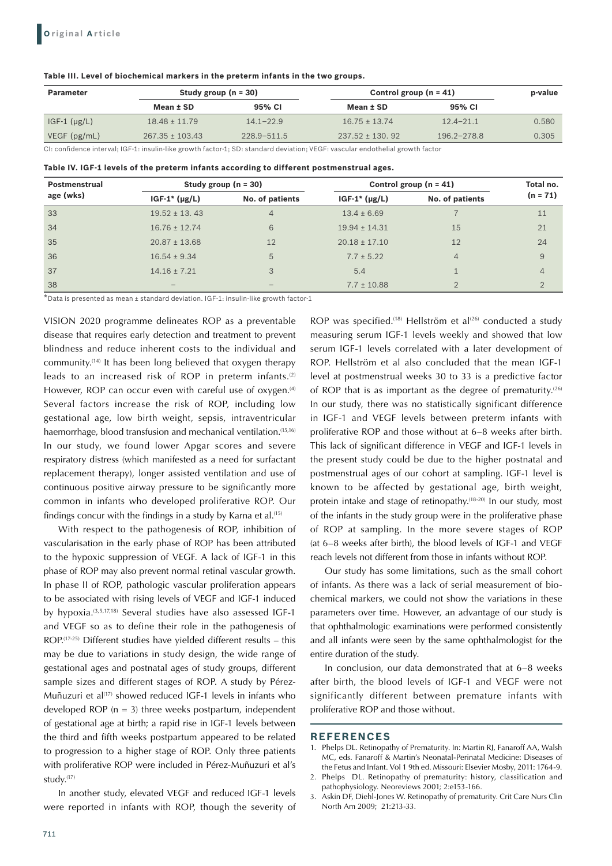#### **Table III. Level of biochemical markers in the preterm infants in the two groups.**

| <b>Parameter</b>     | Study group $(n = 30)$ |                 | Control group $(n = 41)$ | p-value         |       |
|----------------------|------------------------|-----------------|--------------------------|-----------------|-------|
|                      | Mean ± SD              | 95% CI          | Mean ± SD                | 95% CI          |       |
| $IGF-1$ ( $\mu$ g/L) | $18.48 \pm 11.79$      | $14.1 - 22.9$   | $16.75 \pm 13.74$        | $12.4 - 21.1$   | 0.580 |
| VEGF(pg/mL)          | $267.35 \pm 103.43$    | $228.9 - 511.5$ | $237.52 \pm 130.92$      | $196.2 - 278.8$ | 0.305 |

CI: confidence interval; IGF-1: insulin-like growth factor-1; SD: standard deviation; VEGF: vascular endothelial growth factor

| Table IV. IGF-1 levels of the preterm infants according to different postmenstrual ages. |  |  |  |  |
|------------------------------------------------------------------------------------------|--|--|--|--|
|------------------------------------------------------------------------------------------|--|--|--|--|

| Postmenstrual<br>age (wks) | Study group $(n = 30)$ |                 | Control group $(n = 41)$ |                 | Total no.      |
|----------------------------|------------------------|-----------------|--------------------------|-----------------|----------------|
|                            | $IGF-1^*(\mu g/L)$     | No. of patients | $IGF-1*(\mu g/L)$        | No. of patients | $(n = 71)$     |
| 33                         | $19.52 \pm 13.43$      | $\overline{4}$  | $13.4 \pm 6.69$          |                 | 11             |
| 34                         | $16.76 \pm 12.74$      | 6               | $19.94 \pm 14.31$        | 15              | 21             |
| 35                         | $20.87 \pm 13.68$      | 12              | $20.18 \pm 17.10$        | 12              | 24             |
| 36                         | $16.54 \pm 9.34$       | 5               | $7.7 \pm 5.22$           | $\overline{4}$  | 9              |
| 37                         | $14.16 \pm 7.21$       | 3               | 5.4                      |                 | $\overline{4}$ |
| 38                         |                        |                 | $7.7 \pm 10.88$          |                 |                |

\*Data is presented as mean ± standard deviation. IGF-1: insulin-like growth factor-1

VISION 2020 programme delineates ROP as a preventable disease that requires early detection and treatment to prevent blindness and reduce inherent costs to the individual and community.(14) It has been long believed that oxygen therapy leads to an increased risk of ROP in preterm infants.<sup>(2)</sup> However, ROP can occur even with careful use of oxygen.<sup>(4)</sup> Several factors increase the risk of ROP, including low gestational age, low birth weight, sepsis, intraventricular haemorrhage, blood transfusion and mechanical ventilation.<sup>(15,16)</sup> In our study, we found lower Apgar scores and severe respiratory distress (which manifested as a need for surfactant replacement therapy), longer assisted ventilation and use of continuous positive airway pressure to be significantly more common in infants who developed proliferative ROP. Our findings concur with the findings in a study by Karna et al. $(15)$ 

With respect to the pathogenesis of ROP, inhibition of vascularisation in the early phase of ROP has been attributed to the hypoxic suppression of VEGF. A lack of IGF-1 in this phase of ROP may also prevent normal retinal vascular growth. In phase II of ROP, pathologic vascular proliferation appears to be associated with rising levels of VEGF and IGF-1 induced by hypoxia.(3,5,17,18) Several studies have also assessed IGF-1 and VEGF so as to define their role in the pathogenesis of  $ROP<sub>(17-25)</sub>$  Different studies have vielded different results – this may be due to variations in study design, the wide range of gestational ages and postnatal ages of study groups, different sample sizes and different stages of ROP. A study by Pérez-Muñuzuri et al<sup> $(17)$ </sup> showed reduced IGF-1 levels in infants who developed ROP ( $n = 3$ ) three weeks postpartum, independent of gestational age at birth; a rapid rise in IGF-1 levels between the third and fifth weeks postpartum appeared to be related to progression to a higher stage of ROP. Only three patients with proliferative ROP were included in Pérez-Muñuzuri et al's study.(17)

In another study, elevated VEGF and reduced IGF-1 levels were reported in infants with ROP, though the severity of ROP was specified.<sup>(18)</sup> Hellström et al<sup>(26)</sup> conducted a study measuring serum IGF-1 levels weekly and showed that low serum IGF-1 levels correlated with a later development of ROP. Hellström et al also concluded that the mean IGF-1 level at postmenstrual weeks 30 to 33 is a predictive factor of ROP that is as important as the degree of prematurity.<sup>(26)</sup> In our study, there was no statistically significant difference in IGF-1 and VEGF levels between preterm infants with proliferative ROP and those without at 6–8 weeks after birth. This lack of significant difference in VEGF and IGF-1 levels in the present study could be due to the higher postnatal and postmenstrual ages of our cohort at sampling. IGF-1 level is known to be affected by gestational age, birth weight, protein intake and stage of retinopathy.<sup>(18-20)</sup> In our study, most of the infants in the study group were in the proliferative phase of ROP at sampling. In the more severe stages of ROP (at 6–8 weeks after birth), the blood levels of IGF-1 and VEGF reach levels not different from those in infants without ROP.

Our study has some limitations, such as the small cohort of infants. As there was a lack of serial measurement of biochemical markers, we could not show the variations in these parameters over time. However, an advantage of our study is that ophthalmologic examinations were performed consistently and all infants were seen by the same ophthalmologist for the entire duration of the study.

In conclusion, our data demonstrated that at 6–8 weeks after birth, the blood levels of IGF-1 and VEGF were not significantly different between premature infants with proliferative ROP and those without.

## **REFERENCES**

- 1. Phelps DL. Retinopathy of Prematurity. In: Martin RJ, Fanaroff AA, Walsh MC, eds. Fanaroff & Martin's Neonatal-Perinatal Medicine: Diseases of the Fetus and Infant. Vol 1 9th ed. Missouri: Elsevier Mosby, 2011: 1764-9.
- 2. Phelps DL. Retinopathy of prematurity: history, classification and pathophysiology. Neoreviews 2001; 2:e153-166.
- 3. Askin DF, Diehl-Jones W. Retinopathy of prematurity. Crit Care Nurs Clin North Am 2009; 21:213-33.